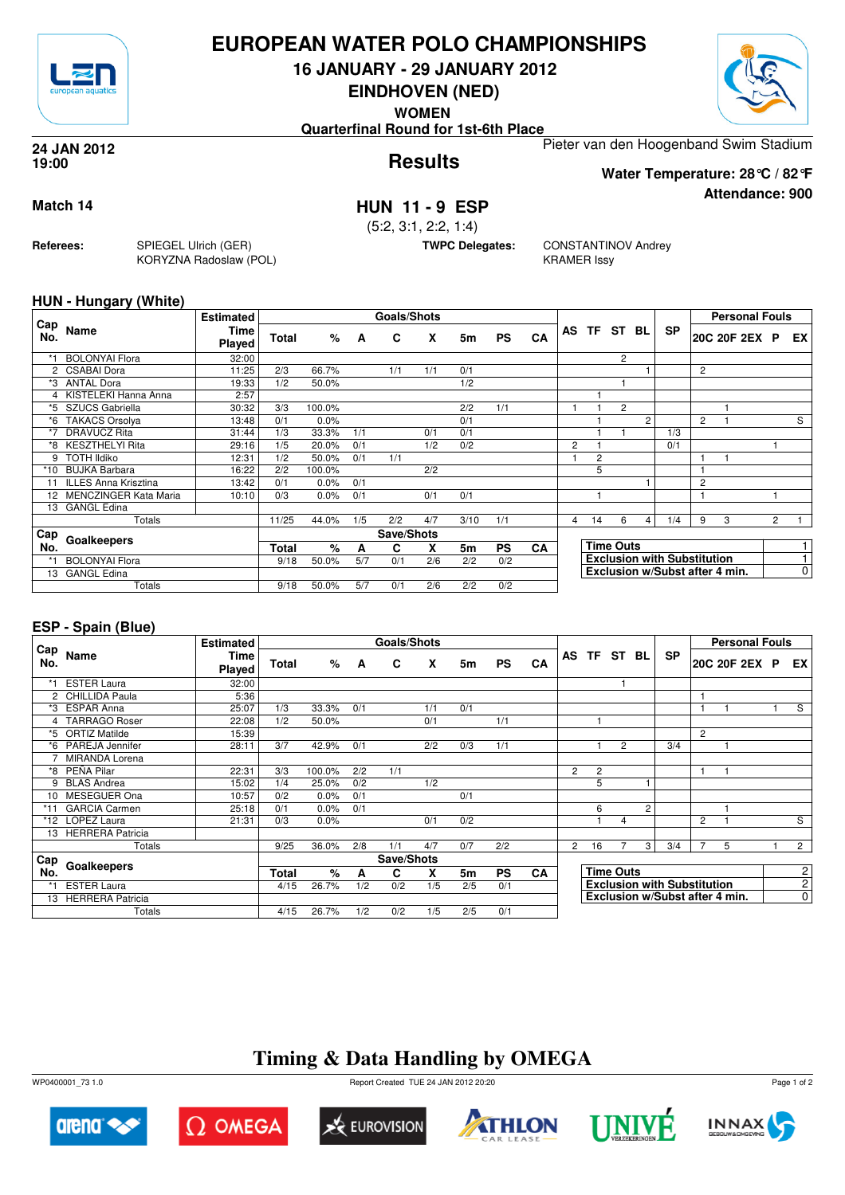

## **EUROPEAN WATER POLO CHAMPIONSHIPS**

**16 JANUARY - 29 JANUARY 2012**

**EINDHOVEN (NED)**



**Attendance: 900**

**WOMEN**

**Quarterfinal Round for 1st-6th Place**

**Results 24 JAN 2012 19:00**

Pieter van den Hoogenband Swim Stadium **Water Temperature: 28°C / 82°F**

### **Match 14 HUN 11 - 9 ESP**

(5:2, 3:1, 2:2, 1:4)

**TWPC Delegates:** CONSTANTINOV Andrey KRAMER Issy

### **HUN - Hungary (White)**

**Referees:** SPIEGEL Ulrich (GER)

KORYZNA Radoslaw (POL)

| Cap  |                              | <b>Estimated</b> |       |        |            | <b>Goals/Shots</b> |     |           |           |    |                                |                                    |                |                |           |                | <b>Personal Fouls</b> |                |    |
|------|------------------------------|------------------|-------|--------|------------|--------------------|-----|-----------|-----------|----|--------------------------------|------------------------------------|----------------|----------------|-----------|----------------|-----------------------|----------------|----|
| No.  | Name                         | Time<br>Played   | Total | %      | A          | C                  | X   | 5m        | <b>PS</b> | CA | AS                             |                                    | TF ST BL       |                | <b>SP</b> |                | 20C 20F 2EX P         |                | EX |
| $*1$ | <b>BOLONYAl Flora</b>        | 32:00            |       |        |            |                    |     |           |           |    |                                |                                    | $\overline{2}$ |                |           |                |                       |                |    |
|      | <b>CSABAI Dora</b>           | 11:25            | 2/3   | 66.7%  |            | 1/1                | 1/1 | 0/1       |           |    |                                |                                    |                |                |           | 2              |                       |                |    |
| *3   | <b>ANTAL Dora</b>            | 19:33            | 1/2   | 50.0%  |            |                    |     | 1/2       |           |    |                                |                                    |                |                |           |                |                       |                |    |
|      | 4 KISTELEKI Hanna Anna       | 2:57             |       |        |            |                    |     |           |           |    |                                |                                    |                |                |           |                |                       |                |    |
| *5   | <b>SZUCS Gabriella</b>       | 30:32            | 3/3   | 100.0% |            |                    |     | 2/2       | 1/1       |    |                                |                                    | 2              |                |           |                |                       |                |    |
| *6   | <b>TAKACS Orsolya</b>        | 13:48            | 0/1   | 0.0%   |            |                    |     | 0/1       |           |    |                                |                                    |                | $\overline{2}$ |           | $\overline{c}$ |                       |                | S  |
| *7   | <b>DRAVUCZ Rita</b>          | 31:44            | 1/3   | 33.3%  | 1/1        |                    | 0/1 | 0/1       |           |    |                                |                                    |                |                | 1/3       |                |                       |                |    |
| *8   | <b>KESZTHELYI Rita</b>       | 29:16            | 1/5   | 20.0%  | 0/1        |                    | 1/2 | 0/2       |           |    | $\overline{2}$                 |                                    |                |                | 0/1       |                |                       |                |    |
| 9    | <b>TOTH Ildiko</b>           | 12:31            | 1/2   | 50.0%  | 0/1        | 1/1                |     |           |           |    |                                | $\overline{c}$                     |                |                |           |                |                       |                |    |
| *10  | <b>BUJKA Barbara</b>         | 16:22            | 2/2   | 100.0% |            |                    | 2/2 |           |           |    |                                | 5                                  |                |                |           |                |                       |                |    |
| 11   | <b>ILLES Anna Krisztina</b>  | 13:42            | 0/1   | 0.0%   | 0/1        |                    |     |           |           |    |                                |                                    |                |                |           | 2              |                       |                |    |
| 12   | <b>MENCZINGER Kata Maria</b> | 10:10            | 0/3   | 0.0%   | 0/1        |                    | 0/1 | 0/1       |           |    |                                | н                                  |                |                |           |                |                       |                |    |
| 13   | <b>GANGL Edina</b>           |                  |       |        |            |                    |     |           |           |    |                                |                                    |                |                |           |                |                       |                |    |
|      | Totals                       |                  | 11/25 | 44.0%  | 1/5        | 2/2                | 4/7 | 3/10      | 1/1       |    | $\overline{4}$                 | 14                                 | 6              | 4              | 1/4       | 9              | 3                     | $\overline{2}$ |    |
| Cap  |                              |                  |       |        | Save/Shots |                    |     |           |           |    |                                |                                    |                |                |           |                |                       |                |    |
| No.  | Goalkeepers                  | Total            | $\%$  | A      | C          | X                  | 5m  | <b>PS</b> | <b>CA</b> |    |                                | <b>Time Outs</b>                   |                |                |           |                |                       |                |    |
| *1   | <b>BOLONYAl Flora</b>        |                  | 9/18  | 50.0%  | 5/7        | 0/1                | 2/6 | 2/2       | 0/2       |    |                                | <b>Exclusion with Substitution</b> |                |                |           |                |                       |                |    |
| 13   | <b>GANGL Edina</b>           |                  |       |        |            |                    |     |           |           |    | Exclusion w/Subst after 4 min. |                                    |                |                |           |                |                       | $\overline{0}$ |    |
|      | Totals                       |                  | 9/18  | 50.0%  | 5/7        | 0/1                | 2/6 | 2/2       | 0/2       |    |                                |                                    |                |                |           |                |                       |                |    |

### **ESP - Spain (Blue)**

|                      |                         | <b>Estimated</b> |       | Goals/Shots |            |     |     |           |           |    |                                    |                  |                |   |           |                | <b>Personal Fouls</b> |                |             |
|----------------------|-------------------------|------------------|-------|-------------|------------|-----|-----|-----------|-----------|----|------------------------------------|------------------|----------------|---|-----------|----------------|-----------------------|----------------|-------------|
| Cap<br>No.           | Name                    | Time<br>Played   | Total | %           | A          | C   | X   | 5m        | <b>PS</b> | CA |                                    | AS TF ST BL      |                |   | <b>SP</b> |                | 20C 20F 2EX P         |                | EX I        |
| *1                   | <b>ESTER Laura</b>      | 32:00            |       |             |            |     |     |           |           |    |                                    |                  |                |   |           |                |                       |                |             |
| $\mathbf{2}^{\circ}$ | <b>CHILLIDA Paula</b>   | 5:36             |       |             |            |     |     |           |           |    |                                    |                  |                |   |           |                |                       |                |             |
| *3                   | <b>ESPAR Anna</b>       | 25:07            | 1/3   | 33.3%       | 0/1        |     | 1/1 | 0/1       |           |    |                                    |                  |                |   |           | 1              |                       |                | S           |
|                      | <b>TARRAGO Roser</b>    | 22:08            | 1/2   | 50.0%       |            |     | 0/1 |           | 1/1       |    |                                    |                  |                |   |           |                |                       |                |             |
| *5                   | <b>ORTIZ Matilde</b>    | 15:39            |       |             |            |     |     |           |           |    |                                    |                  |                |   |           | $\overline{2}$ |                       |                |             |
| *6                   | PAREJA Jennifer         | 28:11            | 3/7   | 42.9%       | 0/1        |     | 2/2 | 0/3       | 1/1       |    |                                    |                  | $\overline{2}$ |   | 3/4       |                |                       |                |             |
|                      | <b>MIRANDA Lorena</b>   |                  |       |             |            |     |     |           |           |    |                                    |                  |                |   |           |                |                       |                |             |
| *8                   | PEÑA Pilar              | 22:31            | 3/3   | 100.0%      | 2/2        | 1/1 |     |           |           |    | $\overline{2}$                     | $\overline{2}$   |                |   |           | 1              |                       |                |             |
| 9                    | <b>BLAS Andrea</b>      | 15:02            | 1/4   | 25.0%       | 0/2        |     | 1/2 |           |           |    |                                    | 5                |                |   |           |                |                       |                |             |
| 10                   | MESEGUER Ona            | 10:57            | 0/2   | 0.0%        | 0/1        |     |     | 0/1       |           |    |                                    |                  |                |   |           |                |                       |                |             |
| *11                  | <b>GARCIA Carmen</b>    | 25:18            | 0/1   | 0.0%        | 0/1        |     |     |           |           |    |                                    | 6                |                | 2 |           |                |                       |                |             |
| *12                  | <b>LOPEZ Laura</b>      | 21:31            | 0/3   | 0.0%        |            |     | 0/1 | 0/2       |           |    |                                    |                  | 4              |   |           | 2              |                       |                | S           |
|                      | 13 HERRERA Patricia     |                  |       |             |            |     |     |           |           |    |                                    |                  |                |   |           |                |                       |                |             |
|                      | Totals                  |                  | 9/25  | 36.0%       | 2/8        | 1/1 | 4/7 | 0/7       | 2/2       |    | $\mathbf{2}^{\circ}$               | 16               |                | 3 | 3/4       | $\overline{7}$ | 5                     |                | $2^{\circ}$ |
| Cap                  |                         |                  |       |             | Save/Shots |     |     |           |           |    |                                    |                  |                |   |           |                |                       |                |             |
| No.                  | Goalkeepers             | Total            | $\%$  | A           | C          | X   | 5m  | <b>PS</b> | CA        |    |                                    | <b>Time Outs</b> |                |   |           |                |                       | $\mathbf{2}$   |             |
|                      | <b>ESTER Laura</b>      |                  | 4/15  | 26.7%       | 1/2        | 0/2 | 1/5 | 2/5       | 0/1       |    | <b>Exclusion with Substitution</b> |                  |                |   |           |                |                       | 2 <sup>1</sup> |             |
| 13                   | <b>HERRERA Patricia</b> |                  |       |             |            |     |     |           |           |    | Exclusion w/Subst after 4 min.     |                  |                |   |           |                | $\overline{0}$        |                |             |
|                      | Totals                  |                  | 4/15  | 26.7%       | 1/2        | 0/2 | 1/5 | 2/5       | 0/1       |    |                                    |                  |                |   |           |                |                       |                |             |

# **Timing & Data Handling by OMEGA**

WP0400001\_73 1.0 Report Created TUE 24 JAN 2012 20:20